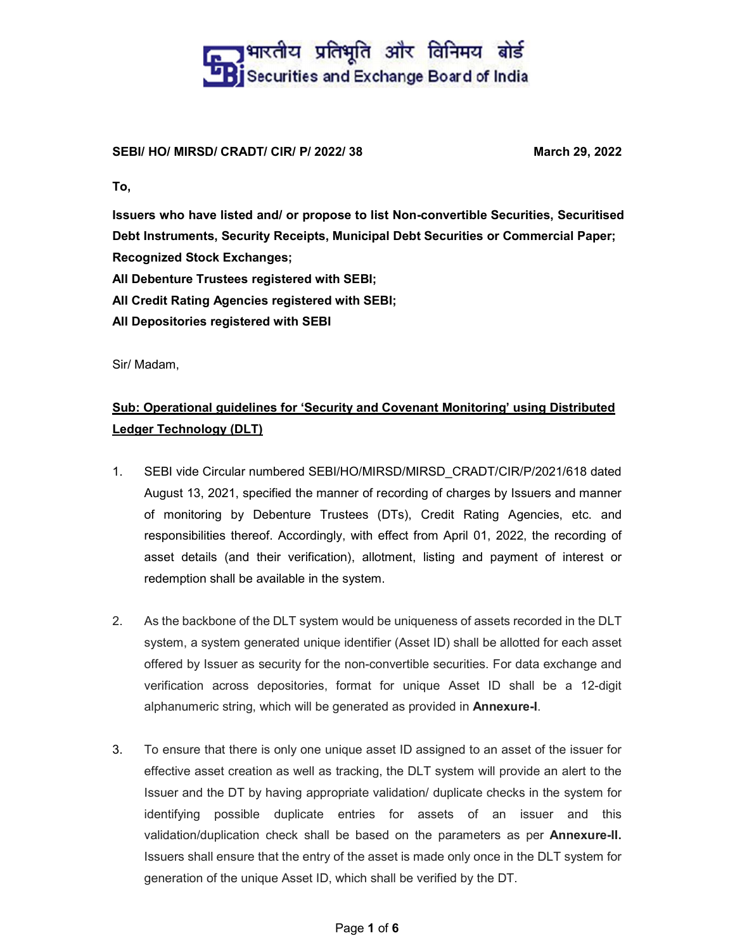## **The Predict of Securities and Exchange Board of India**<br><u>La Bi</u> Securities and Exchange Board of India

### SEBI/ HO/ MIRSD/ CRADT/ CIR/ P/ 2022/ 38 March 29, 2022

To,

Issuers who have listed and/ or propose to list Non-convertible Securities, Securitised Debt Instruments, Security Receipts, Municipal Debt Securities or Commercial Paper; Recognized Stock Exchanges;

All Debenture Trustees registered with SEBI;

All Credit Rating Agencies registered with SEBI;

All Depositories registered with SEBI

Sir/ Madam,

### Sub: Operational guidelines for 'Security and Covenant Monitoring' using Distributed Ledger Technology (DLT)

- 1. SEBI vide Circular numbered SEBI/HO/MIRSD/MIRSD\_CRADT/CIR/P/2021/618 dated August 13, 2021, specified the manner of recording of charges by Issuers and manner of monitoring by Debenture Trustees (DTs), Credit Rating Agencies, etc. and responsibilities thereof. Accordingly, with effect from April 01, 2022, the recording of asset details (and their verification), allotment, listing and payment of interest or redemption shall be available in the system.
- 2. As the backbone of the DLT system would be uniqueness of assets recorded in the DLT system, a system generated unique identifier (Asset ID) shall be allotted for each asset offered by Issuer as security for the non-convertible securities. For data exchange and verification across depositories, format for unique Asset ID shall be a 12-digit alphanumeric string, which will be generated as provided in **Annexure-I**.<br>3. To ensure that there is only one unique asset ID assigned to an asset of the issuer for
- effective asset creation as well as tracking, the DLT system will provide an alert to the Issuer and the DT by having appropriate validation/ duplicate checks in the system for identifying possible duplicate entries for assets of an issuer and this validation/duplication check shall be based on the parameters as per Annexure-II. Issuers shall ensure that the entry of the asset is made only once in the DLT system for generation of the unique Asset ID, which shall be verified by the DT.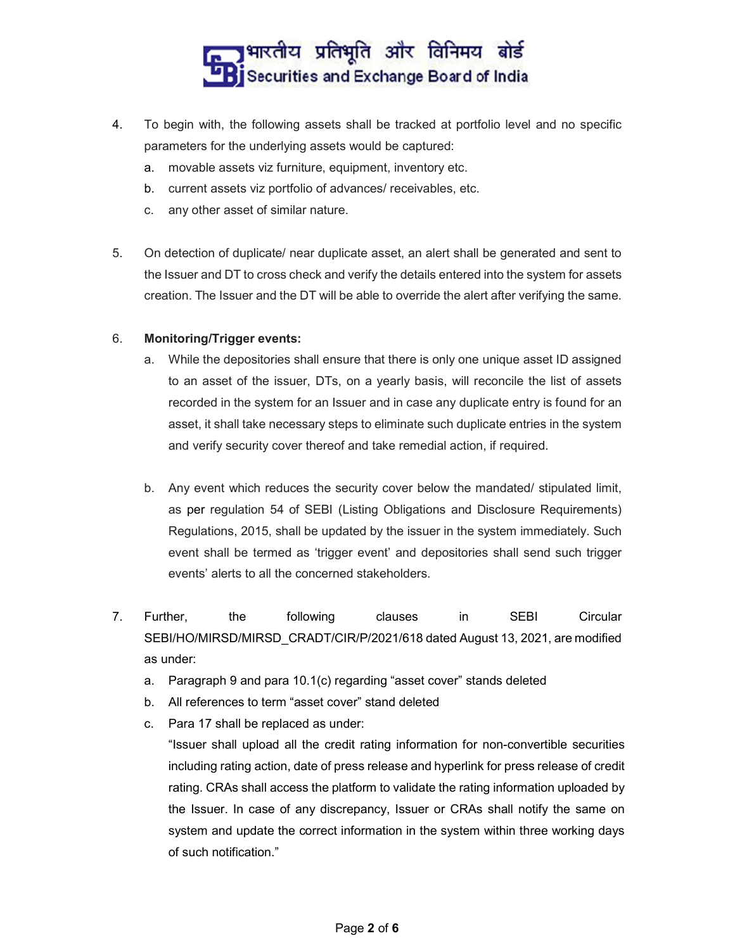### ]भारतीय प्रतिभूति और विनिमय बोर्ड Securities and Exchange Board of India

- 4. To begin with, the following assets shall be tracked at portfolio level and no specific parameters for the underlying assets would be captured:
	- a. movable assets viz furniture, equipment, inventory etc.
	- b. current assets viz portfolio of advances/ receivables, etc.
	- c. any other asset of similar nature.
- 5. On detection of duplicate/ near duplicate asset, an alert shall be generated and sent to the Issuer and DT to cross check and verify the details entered into the system for assets creation. The Issuer and the DT will be able to override the alert after verifying the same.

#### 6. Monitoring/Trigger events:

- a. While the depositories shall ensure that there is only one unique asset ID assigned to an asset of the issuer, DTs, on a yearly basis, will reconcile the list of assets recorded in the system for an Issuer and in case any duplicate entry is found for an asset, it shall take necessary steps to eliminate such duplicate entries in the system and verify security cover thereof and take remedial action, if required.
- b. Any event which reduces the security cover below the mandated/ stipulated limit, as per regulation 54 of SEBI (Listing Obligations and Disclosure Requirements) Regulations, 2015, shall be updated by the issuer in the system immediately. Such event shall be termed as 'trigger event' and depositories shall send such trigger events' alerts to all the concerned stakeholders.
- 7. Further, the following clauses in SEBI Circular SEBI/HO/MIRSD/MIRSD\_CRADT/CIR/P/2021/618 dated August 13, 2021, are modified as under:
	- a. Paragraph 9 and para 10.1(c) regarding "asset cover" stands deleted
	- b. All references to term "asset cover" stand deleted
	- c. Para 17 shall be replaced as under:

"Issuer shall upload all the credit rating information for non-convertible securities including rating action, date of press release and hyperlink for press release of credit rating. CRAs shall access the platform to validate the rating information uploaded by the Issuer. In case of any discrepancy, Issuer or CRAs shall notify the same on system and update the correct information in the system within three working days of such notification."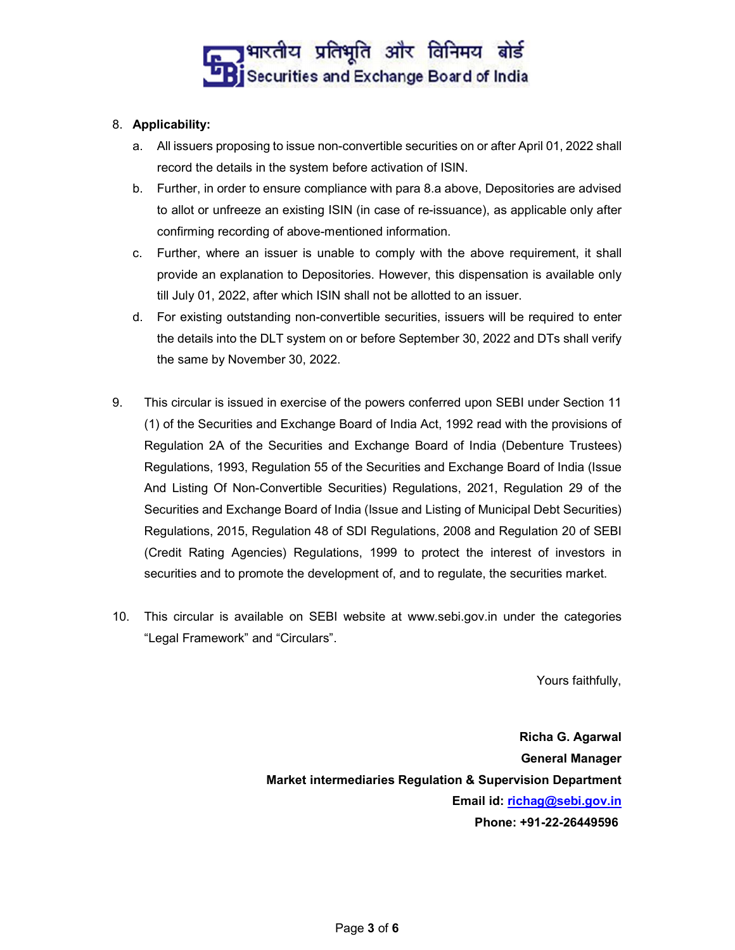

### 8. Applicability:

- a. All issuers proposing to issue non-convertible securities on or after April 01, 2022 shall record the details in the system before activation of ISIN.
- b. Further, in order to ensure compliance with para 8.a above, Depositories are advised to allot or unfreeze an existing ISIN (in case of re-issuance), as applicable only after confirming recording of above-mentioned information.
- c. Further, where an issuer is unable to comply with the above requirement, it shall provide an explanation to Depositories. However, this dispensation is available only till July 01, 2022, after which ISIN shall not be allotted to an issuer.
- d. For existing outstanding non-convertible securities, issuers will be required to enter the details into the DLT system on or before September 30, 2022 and DTs shall verify the same by November 30, 2022.
- 9. This circular is issued in exercise of the powers conferred upon SEBI under Section 11 (1) of the Securities and Exchange Board of India Act, 1992 read with the provisions of Regulation 2A of the Securities and Exchange Board of India (Debenture Trustees) Regulations, 1993, Regulation 55 of the Securities and Exchange Board of India (Issue And Listing Of Non-Convertible Securities) Regulations, 2021, Regulation 29 of the Securities and Exchange Board of India (Issue and Listing of Municipal Debt Securities) Regulations, 2015, Regulation 48 of SDI Regulations, 2008 and Regulation 20 of SEBI (Credit Rating Agencies) Regulations, 1999 to protect the interest of investors in securities and to promote the development of, and to regulate, the securities market.
- 10. This circular is available on SEBI website at www.sebi.gov.in under the categories "Legal Framework" and "Circulars".

Yours faithfully,

Richa G. Agarwal General Manager Market intermediaries Regulation & Supervision Department Email id: richag@sebi.gov.in Phone: +91-22-26449596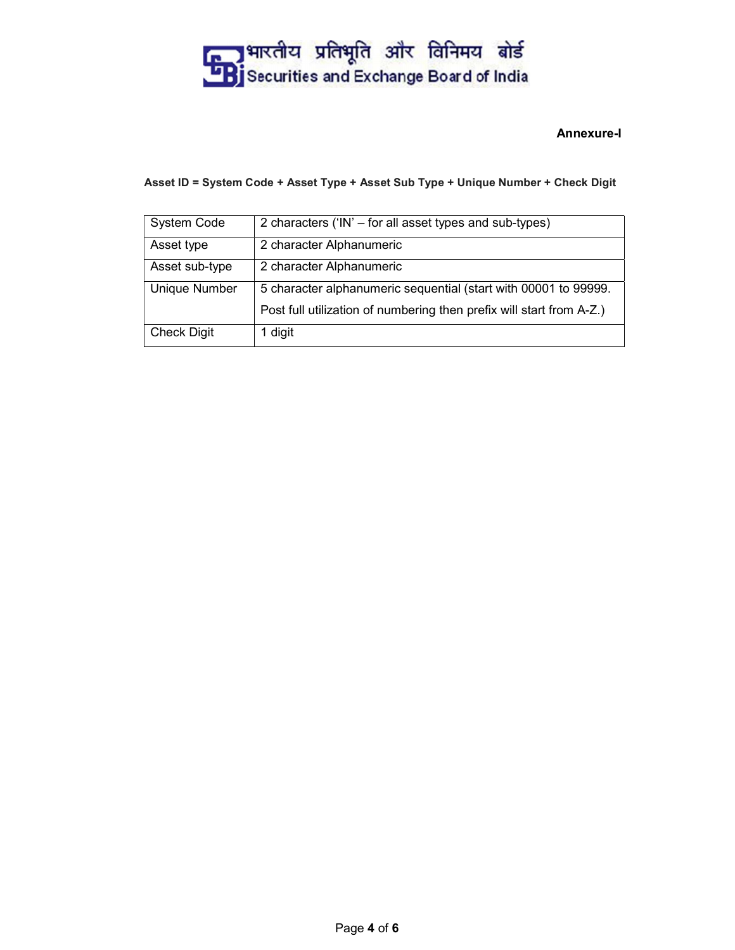## **Ending of the Securities and Exchange Board of India**<br>Ending Securities and Exchange Board of India

### Annexure-I

#### Asset ID = System Code + Asset Type + Asset Sub Type + Unique Number + Check Digit

| System Code    | 2 characters ('IN' – for all asset types and sub-types)              |  |  |
|----------------|----------------------------------------------------------------------|--|--|
| Asset type     | 2 character Alphanumeric                                             |  |  |
| Asset sub-type | 2 character Alphanumeric                                             |  |  |
| Unique Number  | 5 character alphanumeric sequential (start with 00001 to 99999.      |  |  |
|                | Post full utilization of numbering then prefix will start from A-Z.) |  |  |
| Check Digit    | 1 digit                                                              |  |  |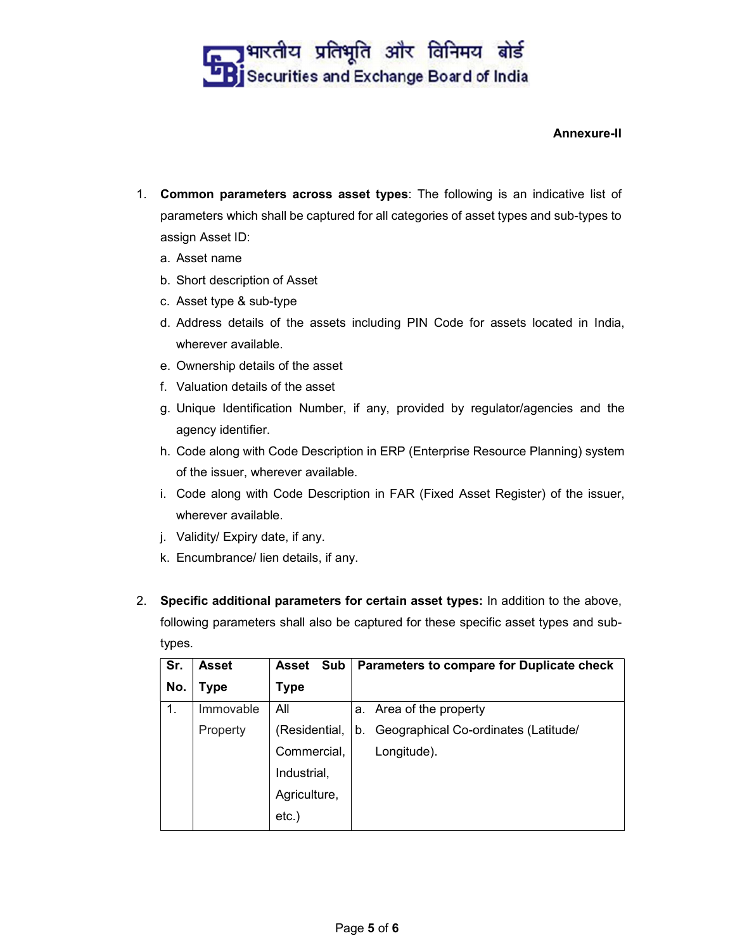### <mark>, ]</mark> भारतीय प्रतिभूति और विनिमय बोर्ड Securities and Exchange Board of India

### Annexure-II

- 1. Common parameters across asset types: The following is an indicative list of parameters which shall be captured for all categories of asset types and sub-types to assign Asset ID:
	- a. Asset name
	- b. Short description of Asset
	- c. Asset type & sub-type
	- d. Address details of the assets including PIN Code for assets located in India, wherever available.
	- e. Ownership details of the asset
	- f. Valuation details of the asset
	- g. Unique Identification Number, if any, provided by regulator/agencies and the agency identifier.
	- h. Code along with Code Description in ERP (Enterprise Resource Planning) system of the issuer, wherever available.
	- i. Code along with Code Description in FAR (Fixed Asset Register) of the issuer, wherever available.
	- j. Validity/ Expiry date, if any.
	- k. Encumbrance/ lien details, if any.
- 2. Specific additional parameters for certain asset types: In addition to the above, following parameters shall also be captured for these specific asset types and subtypes.

| Sr. | <b>Asset</b> | Sub<br><b>Asset</b> | Parameters to compare for Duplicate check  |  |
|-----|--------------|---------------------|--------------------------------------------|--|
| No. | Type         | <b>Type</b>         |                                            |  |
| 1.  | Immovable    | All                 | a. Area of the property                    |  |
|     | Property     | (Residential,       | Geographical Co-ordinates (Latitude/<br>b. |  |
|     |              | Commercial,         | Longitude).                                |  |
|     |              | Industrial,         |                                            |  |
|     |              | Agriculture,        |                                            |  |
|     |              | $etc.$ )            |                                            |  |